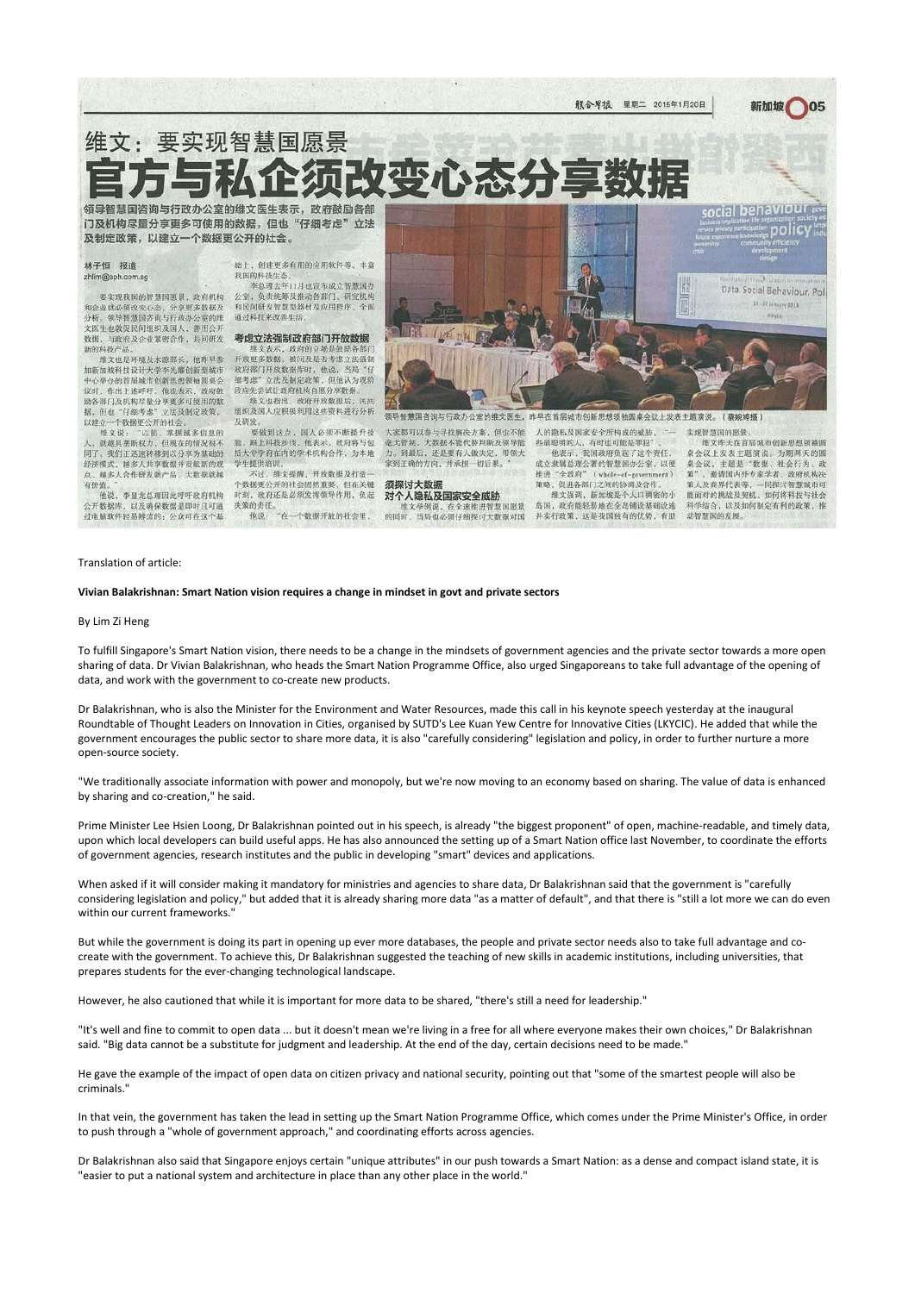服合卑报 星期二 2015年1月20日

# 维文:要实现智慧国愿景

领导智慧国咨询与行政办公室的维文医生表示,政府鼓励各部 门及机构尽量分享更多可使用的数据,但也"仔细考虑"立法 及制定政策,以建立一个数据更公开的社会。

### 林子恒 报道 zhlim@sph.com.sg

要实现我国的智慧国愿景, 政府机构 和企业就必须改变心态, 分享更多数据及 分析。领导智慧国咨询与行政办公室的维 文医生也敦促民间组织及国人、善用公开 数据,与政府及企业紧密合作,共同研发 新的科技产品

维文也是环境及水源部长,他昨早参 加新加坡科技设计大学李光耀创新型城市 中心举办的首届城市创新思想领袖园桌会 议时,作出上述呼吁。他也表示, 政府鼓 励各部门及机构尽量分享更多可使用的数 据,但也"仔细考虑"立法及制定政策。 以建立一个数据更公开的社会。

维文说: "以前, 掌握越多信息的 人, 就越具垄断权力, 但现在的情况很不 同了。我们正迅速转移到以分享为基础的 经济模式, 越多人共享数据并贡献新的观 点、越多人合作研发新产品, 大数据就越 有价值。 他说,李显龙总理因此呼吁政府机构

公开数据库, 以及确保数据是即时且可通 过电脑软件轻易辨读的; 公众可在这个基

础上,创建更多有用的应用软件等、丰富 我国的科技生态 李总理去年11月也宣布成立智慧国办

公室,负责统筹及推动各部门、研究机构 和民间研发智慧型器材及应用程序、全面 通过科技来改善生活。

### 考虑立法强制政府部门开放数据

维文表示, 政府的立场是鼓励各部门 开放更多数据, 被问及是否考虑立法强制 政府部门开放数据库时,他说,当局"仔 细考虑"立法及制定政策,但他认为现阶 段应先尝试让政府机构自愿分享数据

维文也指出, 政府开放数据后, 民间 组织及国人应积极利用这些资料进行分析 及研发 要做到这点,国人必须不断提升技

能. 跟上科技步伐。他表示, 政府将与包 括大专学府在内的学术机构合作,为本地 学生提供培训。 不过,维文提醒,开放数据及打造一 个数据更公开的社会固然重要,但在关键

# Translation of article:

时刻, 政府还是必须发挥领导作用, 负起 决策的责任。 "在一个数据开放的社会里, 他说:



大家都可以参与寻找解决方案, 但也不能 毫无管制,大数据不能代替判断及领导能 力。到最后, 还是要有人做决定, 带领大 家到正确的方向,并承担一切后果。

须探讨大数据 对个人隐私及国家安全威胁 维文举例说、在全速推进智慧国愿景 的同时, 当局也必须仔细探讨大数据对国 人的隐私及国家安全所构成的威胁, "一 些最聪明的人,有时也可能是罪犯" 他表示,我国政府负起了这个责任, 成立隶属总理公署的智慧国办公室,以便 推进"全政府" (whole-of-government) 策略,促进各部门之间的协调及合作。 维文强调, 新加坡是个人口稠密的小 岛国, 政府能轻易地在全岛铺设基础设施

并实行政策、这是我国独有的优势、有助

维文昨天在首届城市创新思想领袖圆 桌会议上发表主题演说。为期两天的圆 桌会议,主题是"数据、社会行为、政 策", 邀请国内外专家学者、政府机构决 策人及商界代表等, 一同探讨智慧城市可 能面对的挑战及契机、如何将科技与社会 科学结合, 以及如何制定有利的政策, 推

动智慧国的发展。

新加坡

05

# **Vivian Balakrishnan: Smart Nation vision requires a change in mindset in govt and private sectors**

### By Lim Zi Heng

To fulfill Singapore's Smart Nation vision, there needs to be a change in the mindsets of government agencies and the private sector towards a more open sharing of data. Dr Vivian Balakrishnan, who heads the Smart Nation Programme Office, also urged Singaporeans to take full advantage of the opening of data, and work with the government to co-create new products.

Dr Balakrishnan, who is also the Minister for the Environment and Water Resources, made this call in his keynote speech yesterday at the inaugural Roundtable of Thought Leaders on Innovation in Cities, organised by SUTD's Lee Kuan Yew Centre for Innovative Cities (LKYCIC). He added that while the government encourages the public sector to share more data, it is also "carefully considering" legislation and policy, in order to further nurture a more open-source society.

"We traditionally associate information with power and monopoly, but we're now moving to an economy based on sharing. The value of data is enhanced by sharing and co-creation," he said.

Prime Minister Lee Hsien Loong, Dr Balakrishnan pointed out in his speech, is already "the biggest proponent" of open, machine-readable, and timely data, upon which local developers can build useful apps. He has also announced the setting up of a Smart Nation office last November, to coordinate the efforts of government agencies, research institutes and the public in developing "smart" devices and applications.

When asked if it will consider making it mandatory for ministries and agencies to share data, Dr Balakrishnan said that the government is "carefully considering legislation and policy," but added that it is already sharing more data "as a matter of default", and that there is "still a lot more we can do even within our current frameworks."

But while the government is doing its part in opening up ever more databases, the people and private sector needs also to take full advantage and cocreate with the government. To achieve this, Dr Balakrishnan suggested the teaching of new skills in academic institutions, including universities, that prepares students for the ever-changing technological landscape.

However, he also cautioned that while it is important for more data to be shared, "there's still a need for leadership."

"It's well and fine to commit to open data ... but it doesn't mean we're living in a free for all where everyone makes their own choices," Dr Balakrishnan said. "Big data cannot be a substitute for judgment and leadership. At the end of the day, certain decisions need to be made."

He gave the example of the impact of open data on citizen privacy and national security, pointing out that "some of the smartest people will also be criminals."

In that vein, the government has taken the lead in setting up the Smart Nation Programme Office, which comes under the Prime Minister's Office, in order to push through a "whole of government approach," and coordinating efforts across agencies.

Dr Balakrishnan also said that Singapore enjoys certain "unique attributes" in our push towards a Smart Nation: as a dense and compact island state, it is "easier to put a national system and architecture in place than any other place in the world."